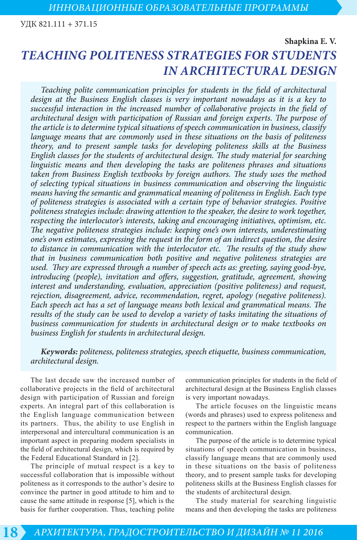УДК 821.111 + 371.15

**Shapkina E. V.** 

# *TEACHING POLITENESS STRATEGIES FOR STUDENTS IN ARCHITECTURAL DESIGN*

*Teaching polite communication principles for students in the field of architectural design at the Business English classes is very important nowadays as it is a key to successful interaction in the increased number of collaborative projects in the field of architectural design with participation of Russian and foreign experts. The purpose of the article is to determine typical situations of speech communication in business, classify language means that are commonly used in these situations on the basis of politeness theory, and to present sample tasks for developing politeness skills at the Business English classes for the students of architectural design. The study material for searching linguistic means and then developing the tasks are politeness phrases and situations taken from Business English textbooks by foreign authors. The study uses the method of selecting typical situations in business communication and observing the linguistic means having the semantic and grammatical meaning of politeness in English. Each type of politeness strategies is associated with a certain type of behavior strategies. Positive politeness strategies include: drawing attention to the speaker, the desire to work together, respecting the interlocutor's interests, taking and encouraging initiatives, optimism, etc. The negative politeness strategies include: keeping one's own interests, underestimating one's own estimates, expressing the request in the form of an indirect question, the desire to distance in communication with the interlocutor etc. The results of the study show that in business communication both positive and negative politeness strategies are used. They are expressed through a number of speech acts as: greeting, saying good-bye, introducing (people), invitation and offers, suggestion, gratitude, agreement, showing interest and understanding, evaluation, appreciation (positive politeness) and request, rejection, disagreement, advice, recommendation, regret, apology (negative politeness). Each speech act has a set of language means both lexical and grammatical means. The results of the study can be used to develop a variety of tasks imitating the situations of business communication for students in architectural design or to make textbooks on business English for students in architectural design.* 

# *Keywords: politeness, politeness strategies, speech etiquette, business communication, architectural design.*

The last decade saw the increased number of collaborative projects in the field of architectural design with participation of Russian and foreign experts. An integral part of this collaboration is the English language communication between its partners. Thus, the ability to use English in interpersonal and intercultural communication is an important aspect in preparing modern specialists in the field of architectural design, which is required by the Federal Educational Standard in [2].

The principle of mutual respect is a key to successful collaboration that is impossible without politeness as it corresponds to the author's desire to convince the partner in good attitude to him and to cause the same attitude in response [5], which is the basis for further cooperation. Thus, teaching polite communication principles for students in the field of architectural design at the Business English classes is very important nowadays.

The article focuses on the linguistic means (words and phrases) used to express politeness and respect to the partners within the English language communication.

The purpose of the article is to determine typical situations of speech communication in business, classify language means that are commonly used in these situations on the basis of politeness theory, and to present sample tasks for developing politeness skills at the Business English classes for the students of architectural design.

The study material for searching linguistic means and then developing the tasks are politeness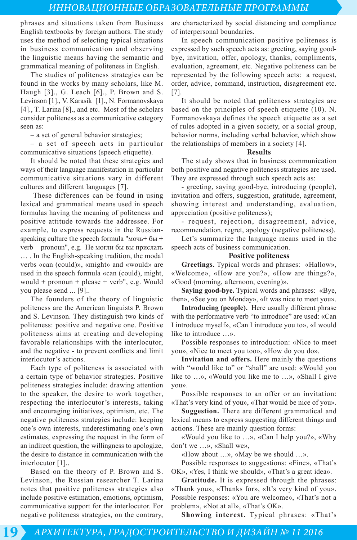phrases and situations taken from Business English textbooks by foreign authors. The study uses the method of selecting typical situations in business communication and observing the linguistic means having the semantic and grammatical meaning of politeness in English.

The studies of politeness strategies can be found in the works by many scholars, like M. Haugh [3]., G. Leach [6]., P. Brown and S. Levinson [1]., V. Karasik [1]., N. Formanovskaya [4]., T. Larina [8]., and etc. Most of the scholars consider politeness as a communicative category seen as:

– a set of general behavior strategies;

– a set of speech acts in particular communicative situations (speech etiquette).

It should be noted that these strategies and ways of their language manifestation in particular communicative situations vary in different cultures and different languages [7].

 These differences can be found in using lexical and grammatical means used in speech formulas having the meaning of politeness and positive attitude towards the addressee. For example, to express requests in the Russianspeaking culture the speech formula "мочь+ бы + verb + pronoun", e.g. Не могли бы вы прислать … . In the English-speaking tradition, the modal verbs «can (could)», «might» and «would» are used in the speech formula «can (could), might, would + pronoun + please + verb", e.g. Would you please send ... [9]..

The founders of the theory of linguistic politeness are the American linguists P. Brown and S. Levinson. They distinguish two kinds of politeness: positive and negative one. Positive politeness aims at creating and developing favorable relationships with the interlocutor, and the negative - to prevent conflicts and limit interlocutor's actions.

Each type of politeness is associated with a certain type of behavior strategies. Positive politeness strategies include: drawing attention to the speaker, the desire to work together, respecting the interlocutor's interests, taking and encouraging initiatives, optimism, etc. The negative politeness strategies include: keeping one's own interests, underestimating one's own estimates, expressing the request in the form of an indirect question, the willingness to apologize, the desire to distance in communication with the interlocutor [1]..

Based on the theory of P. Brown and S. Levinson, the Russian researcher T. Larina notes that positive politeness strategies also include positive estimation, emotions, optimism, communicative support for the interlocutor. For negative politeness strategies, on the contrary, are characterized by social distancing and compliance of interpersonal boundaries.

In speech communication positive politeness is expressed by such speech acts as: greeting, saying goodbye, invitation, offer, apology, thanks, compliments, evaluation, agreement, etc. Negative politeness can be represented by the following speech acts: a request, order, advice, command, instruction, disagreement etc. [7].

It should be noted that politeness strategies are based on the principles of speech etiquette (10). N. Formanovskaya defines the speech etiquette as a set of rules adopted in a given society, or a social group, behavior norms, including verbal behavior, which show the relationships of members in a society [4].

#### **Results**

The study shows that in business communication both positive and negative politeness strategies are used. They are expressed through such speech acts as:

- greeting, saying good-bye, introducing (people), invitation and offers, suggestion, gratitude, agreement, showing interest and understanding, evaluation, appreciation (positive politeness);

- request, rejection, disagreement, advice, recommendation, regret, apology (negative politeness).

Let's summarize the language means used in the speech acts of business communication.

#### **Positive politeness**

**Greetings.** Typical words and phrases: «Hallow», «Welcome», «How are you?», «How are things?», «Good (morning, afternoon, evening)».

**Saying good-bye.** Typical words and phrases: «Bye, then», «See you on Monday», «It was nice to meet you».

**Introducing (people).** Here usually different phrase with the performative verb "to introduce" are used: «Can I introduce myself», «Can I introduce you to», «I would like to introduce »

Possible responses to introduction: «Nice to meet you», «Nice to meet you too», «How do you do».

**Invitation and offers.** Here mainly the questions with "would like to" or "shall" are used: «Would you like to …», «Would you like me to …», «Shall I give you».

Possible responses to an offer or an invitation: «That's very kind of you», «That would be nice of you».

**Suggestion.** There are different grammatical and lexical means to express suggesting different things and actions. These are mainly question forms:

«Would you like to …», «Can I help you?», «Why don't we …», «Shall we»,

«How about …», «May be we should …».

Possible responses to suggestions: «Fine», «That's OK», «Yes, I think we should», «That's a great idea».

**Gratitude.** It is expressed through the phrases: «Thank you», «Thanks for», «It's very kind of you». Possible responses: «You are welcome», «That's not a problem», «Not at all», «That's OK».

**Showing interest.** Typical phrases: «That's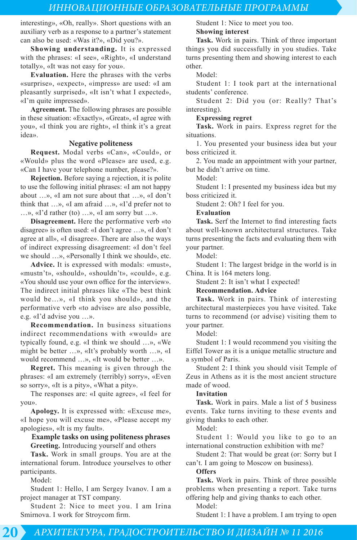interesting», «Oh, really». Short questions with an auxiliary verb as a response to a partner's statement can also be used: «Was it?», «Did you?».

**Showing understanding.** It is expressed with the phrases: «I see», «Right», «I understand totally», «It was not easy for you».

**Evaluation.** Here the phrases with the verbs «surprise», «expect», «impress» are used: «I am pleasantly surprised», «It isn't what I expected», «I'm quite impressed».

**Agreement.** The following phrases are possible in these situation: «Exactly», «Great», «I agree with you», «I think you are right», «I think it's a great idea».

#### **Negative politeness**

**Request.** Modal verbs «Can», «Сould», or «Would» plus the word «Please» are used, e.g. «Can I have your telephone number, please?».

**Rejection.** Before saying a rejection, it is polite to use the following initial phrases: «I am not happy about …», «I am not sure about that …», «I don't think that …», «I am afraid …», «I'd prefer not to …», «I'd rather (to) …», «I am sorry but …».

**Disagreement.** Here the performative verb «to disagree» is often used: «I don't agree …», «I don't agree at all», «I disagree». There are also the ways of indirect expressing disagreement: «I don't feel we should …», «Personally I think we should», etc.

**Advice.** It is expressed with modals: «must», «mustn't», «should», «shouldn't», «could», e.g. «You should use your own office for the interview». The indirect initial phrases like «The best think would be…», «I think you should», and the performative verb «to advise» are also possible, e.g. «I'd advise you …».

**Recommendation.** In business situations indirect recommendations with «would» are typically found, e.g. «I think we should …», «We might be better …», «It's probably worth …», «I would recommend …», «It would be better …».

**Regret.** This meaning is given through the phrases: «I am extremely (terribly) sorry», «Even so sorry», «It is a pity», «What a pity».

The responses are: «I quite agree», «I feel for you».

**Apology.** It is expressed with: «Excuse me», «I hope you will excuse me», «Please accept my apologies», «It is my fault».

### **Example tasks on using politeness phrases Greeting.** Introducing yourself and others

**Task.** Work in small groups. You are at the international forum. Introduce yourselves to other participants.

Model:

Student 1: Hello, I am Sergey Ivanov. I am a project manager at TST company.

Student 2: Nice to meet you. I am Irina Smirnova. I work for Stroycom firm.

Student 1: Nice to meet you too. **Showing interest**

**Task.** Work in pairs. Think of three important things you did successfully in you studies. Take turns presenting them and showing interest to each other.

Model:

Student 1: I took part at the international students' conference.

Student 2: Did you (or: Really? That's interesting).

#### **Expressing regret**

**Task.** Work in pairs. Express regret for the situations.

1. You presented your business idea but your boss criticized it.

2. You made an appointment with your partner, but he didn't arrive on time.

Model:

Student 1: I presented my business idea but my boss criticized it.

Student 2: Oh? I feel for you.

### **Evaluation**

**Task.** Serf the Internet to find interesting facts about well-known architectural structures. Take turns presenting the facts and evaluating them with your partner.

Model:

Student 1: The largest bridge in the world is in China. It is 164 meters long.

Student 2: It isn't what I expected!

# **Recommendation. Advice**

**Task.** Work in pairs. Think of interesting architectural masterpieces you have visited. Take turns to recommend (or advise) visiting them to your partner.

Model:

Student 1: I would recommend you visiting the Eiffel Tower as it is a unique metallic structure and a symbol of Paris.

Student 2: I think you should visit Temple of Zeus in Athens as it is the most ancient structure made of wood.

# **Invitation**

**Task.** Work in pairs. Male a list of 5 business events. Take turns inviting to these events and giving thanks to each other.

Model:

Student 1: Would you like to go to an international construction exhibition with me?

Student 2: That would be great (or: Sorry but I can't. I am going to Moscow on business).

**Offers**

**Task.** Work in pairs. Think of three possible problems when presenting a report. Take turns offering help and giving thanks to each other.

Model: Student 1: I have a problem. I am trying to open